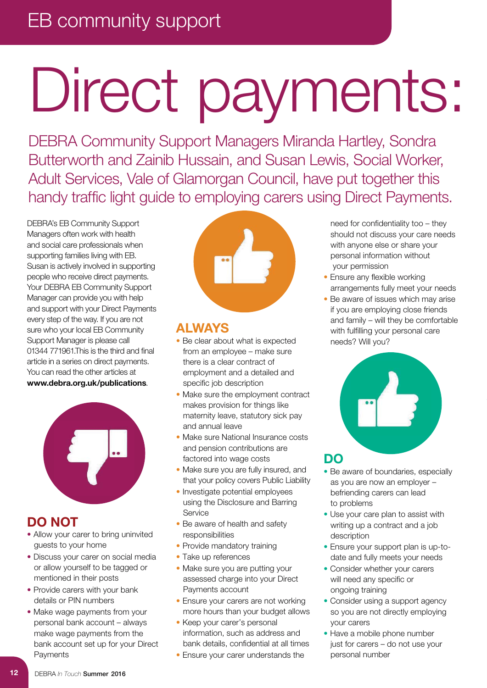## EB community support

# Direct payments:

DEBRA Community Support Managers Miranda Hartley, Sondra Butterworth and Zainib Hussain, and Susan Lewis, Social Worker, Adult Services, Vale of Glamorgan Council, have put together this handy traffic light guide to employing carers using Direct Payments.

DEBRA's EB Community Support Managers often work with health and social care professionals when supporting families living with EB. Susan is actively involved in supporting people who receive direct payments. Your DEBRA EB Community Support Manager can provide you with help and support with your Direct Payments every step of the way. If you are not sure who your local EB Community Support Manager is please call 01344 771961.This is the third and final article in a series on direct payments. You can read the other articles at **www.debra.org.uk/publications**.



### **DO NOT**

- Allow your carer to bring uninvited guests to your home
- Discuss your carer on social media or allow yourself to be tagged or mentioned in their posts
- Provide carers with your bank details or PIN numbers
- Make wage payments from your personal bank account – always make wage payments from the bank account set up for your Direct **Payments**



### **ALWAYS**

- Be clear about what is expected from an employee – make sure there is a clear contract of employment and a detailed and specific job description
- Make sure the employment contract makes provision for things like maternity leave, statutory sick pay and annual leave
- Make sure National Insurance costs and pension contributions are factored into wage costs
- Make sure you are fully insured, and that your policy covers Public Liability
- Investigate potential employees using the Disclosure and Barring Service
- Be aware of health and safety responsibilities
- Provide mandatory training
- Take up references
- Make sure you are putting your assessed charge into your Direct Payments account
- Ensure your carers are not working more hours than your budget allows
- Keep your carer's personal information, such as address and bank details, confidential at all times
- Ensure your carer understands the

need for confidentiality too – they should not discuss your care needs with anyone else or share your personal information without your permission

- Ensure any flexible working arrangements fully meet your needs
- Be aware of issues which may arise if you are employing close friends and family – will they be comfortable with fulfilling your personal care needs? Will you?



- Be aware of boundaries, especially as you are now an employer – befriending carers can lead to problems
- Use your care plan to assist with writing up a contract and a job description
- Ensure your support plan is up-todate and fully meets your needs
- Consider whether your carers will need any specific or ongoing training
- Consider using a support agency so you are not directly employing your carers
- Have a mobile phone number just for carers – do not use your personal number